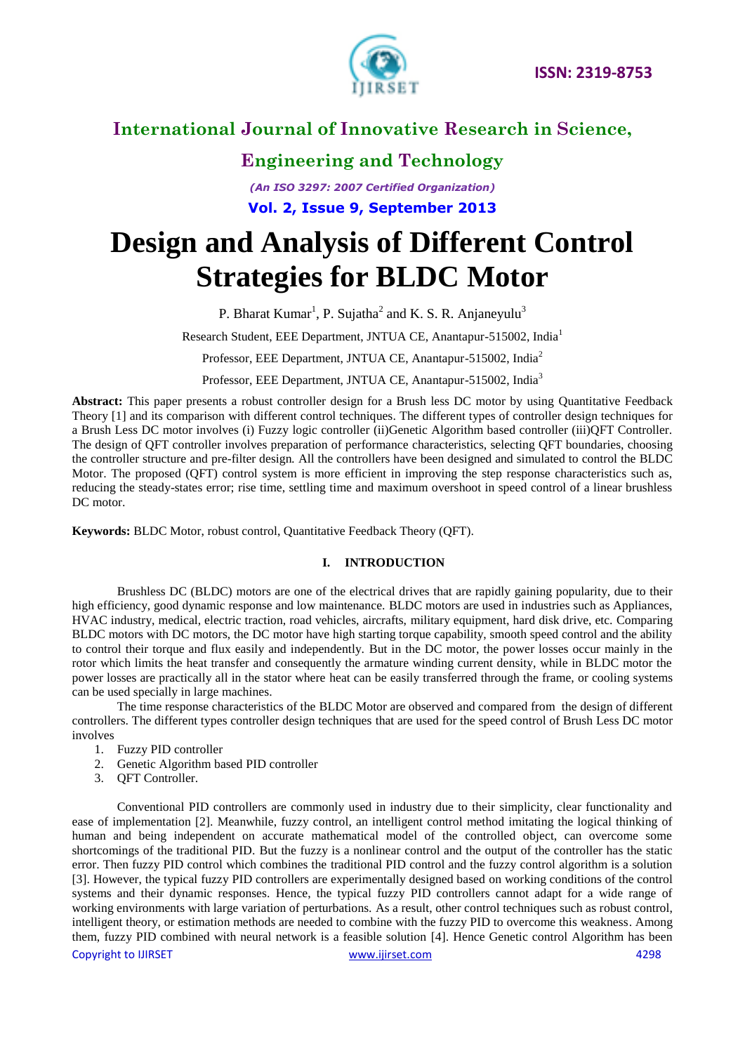

**Engineering and Technology**

*(An ISO 3297: 2007 Certified Organization)* **Vol. 2, Issue 9, September 2013**

# **Design and Analysis of Different Control Strategies for BLDC Motor**

P. Bharat Kumar<sup>1</sup>, P. Sujatha<sup>2</sup> and K. S. R. Anjaneyulu<sup>3</sup>

Research Student, EEE Department, JNTUA CE, Anantapur-515002, India<sup>1</sup>

Professor, EEE Department, JNTUA CE, Anantapur-515002, India<sup>2</sup>

Professor, EEE Department, JNTUA CE, Anantapur-515002, India<sup>3</sup>

**Abstract:** This paper presents a robust controller design for a Brush less DC motor by using Quantitative Feedback Theory [1] and its comparison with different control techniques. The different types of controller design techniques for a Brush Less DC motor involves (i) Fuzzy logic controller (ii)Genetic Algorithm based controller (iii)QFT Controller. The design of QFT controller involves preparation of performance characteristics, selecting QFT boundaries, choosing the controller structure and pre-filter design*.* All the controllers have been designed and simulated to control the BLDC Motor. The proposed (QFT) control system is more efficient in improving the step response characteristics such as, reducing the steady-states error; rise time, settling time and maximum overshoot in speed control of a linear brushless DC motor.

**Keywords:** BLDC Motor, robust control, Quantitative Feedback Theory (QFT).

### **I. INTRODUCTION**

Brushless DC (BLDC) motors are one of the electrical drives that are rapidly gaining popularity, due to their high efficiency, good dynamic response and low maintenance. BLDC motors are used in industries such as Appliances, HVAC industry, medical, electric traction, road vehicles, aircrafts, military equipment, hard disk drive, etc. Comparing BLDC motors with DC motors, the DC motor have high starting torque capability, smooth speed control and the ability to control their torque and flux easily and independently. But in the DC motor, the power losses occur mainly in the rotor which limits the heat transfer and consequently the armature winding current density, while in BLDC motor the power losses are practically all in the stator where heat can be easily transferred through the frame, or cooling systems can be used specially in large machines.

The time response characteristics of the BLDC Motor are observed and compared from the design of different controllers. The different types controller design techniques that are used for the speed control of Brush Less DC motor involves

- 1. Fuzzy PID controller
- 2. Genetic Algorithm based PID controller
- 3. QFT Controller.

Conventional PID controllers are commonly used in industry due to their simplicity, clear functionality and ease of implementation [2]. Meanwhile, fuzzy control, an intelligent control method imitating the logical thinking of human and being independent on accurate mathematical model of the controlled object, can overcome some shortcomings of the traditional PID. But the fuzzy is a nonlinear control and the output of the controller has the static error. Then fuzzy PID control which combines the traditional PID control and the fuzzy control algorithm is a solution [3]. However, the typical fuzzy PID controllers are experimentally designed based on working conditions of the control systems and their dynamic responses. Hence, the typical fuzzy PID controllers cannot adapt for a wide range of working environments with large variation of perturbations. As a result, other control techniques such as robust control, intelligent theory, or estimation methods are needed to combine with the fuzzy PID to overcome this weakness. Among them, fuzzy PID combined with neural network is a feasible solution [4]. Hence Genetic control Algorithm has been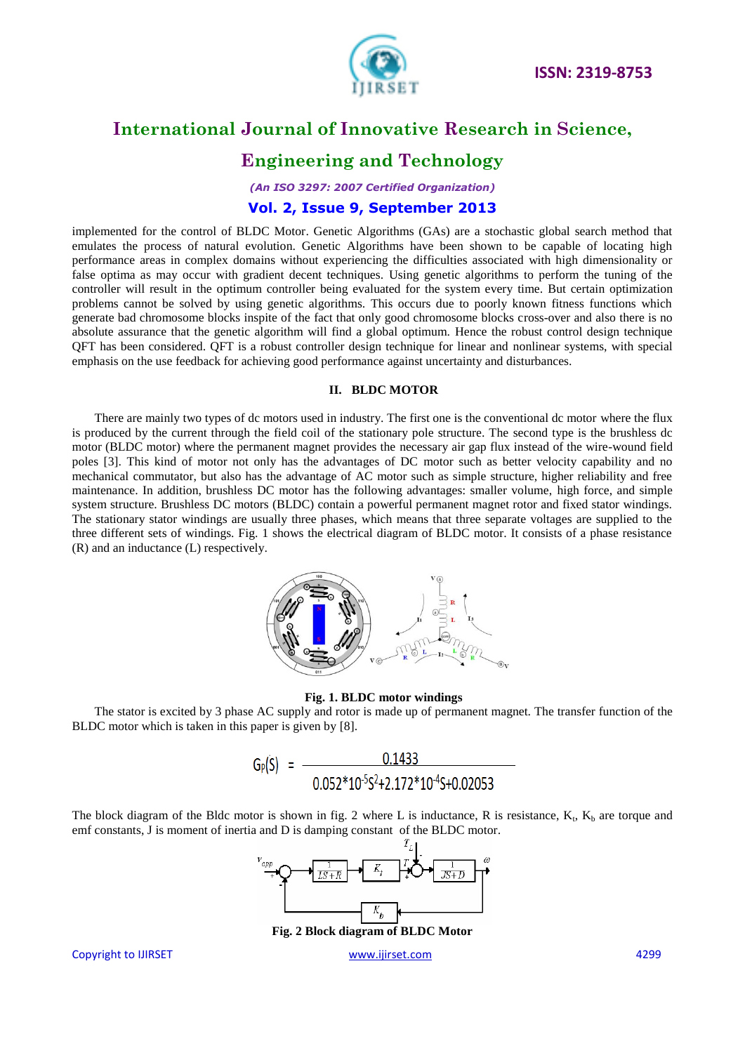

### **Engineering and Technology**

*(An ISO 3297: 2007 Certified Organization)*

### **Vol. 2, Issue 9, September 2013**

implemented for the control of BLDC Motor. Genetic Algorithms (GAs) are a stochastic global search method that emulates the process of natural evolution. Genetic Algorithms have been shown to be capable of locating high performance areas in complex domains without experiencing the difficulties associated with high dimensionality or false optima as may occur with gradient decent techniques. Using genetic algorithms to perform the tuning of the controller will result in the optimum controller being evaluated for the system every time. But certain optimization problems cannot be solved by using genetic algorithms. This occurs due to poorly known fitness functions which generate bad chromosome blocks inspite of the fact that only good chromosome blocks cross-over and also there is no absolute assurance that the genetic algorithm will find a global optimum. Hence the robust control design technique QFT has been considered. QFT is a robust controller design technique for linear and nonlinear systems, with special emphasis on the use feedback for achieving good performance against uncertainty and disturbances.

#### **II. BLDC MOTOR**

There are mainly two types of dc motors used in industry. The first one is the conventional dc motor where the flux is produced by the current through the field coil of the stationary pole structure. The second type is the brushless dc motor (BLDC motor) where the permanent magnet provides the necessary air gap flux instead of the wire-wound field poles [3]. This kind of motor not only has the advantages of DC motor such as better velocity capability and no mechanical commutator, but also has the advantage of AC motor such as simple structure, higher reliability and free maintenance. In addition, brushless DC motor has the following advantages: smaller volume, high force, and simple system structure. Brushless DC motors (BLDC) contain a powerful permanent magnet rotor and fixed stator windings. The stationary stator windings are usually three phases, which means that three separate voltages are supplied to the three different sets of windings. Fig. 1 shows the electrical diagram of BLDC motor. It consists of a phase resistance (R) and an inductance (L) respectively.



#### **Fig. 1. BLDC motor windings**

The stator is excited by 3 phase AC supply and rotor is made up of permanent magnet. The transfer function of the BLDC motor which is taken in this paper is given by [8].

$$
G_P(S) = \frac{0.1433}{0.052*10^{-5}S^2+2.172*10^{-4}S+0.02053}
$$

The block diagram of the Bldc motor is shown in fig. 2 where L is inductance, R is resistance,  $K_t$ ,  $K_b$  are torque and emf constants, J is moment of inertia and D is damping constant of the BLDC motor.



**Fig. 2 Block diagram of BLDC Motor**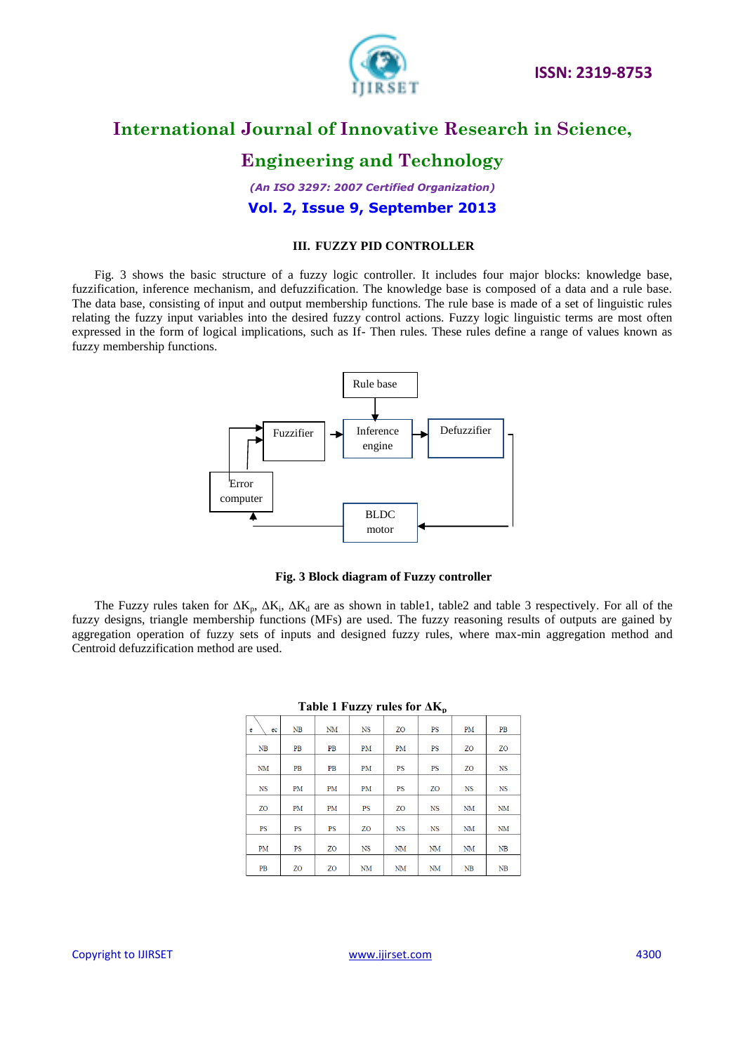

# **Engineering and Technology**

*(An ISO 3297: 2007 Certified Organization)* **Vol. 2, Issue 9, September 2013**

### **III. FUZZY PID CONTROLLER**

Fig. 3 shows the basic structure of a fuzzy logic controller. It includes four major blocks: knowledge base, fuzzification, inference mechanism, and defuzzification. The knowledge base is composed of a data and a rule base. The data base, consisting of input and output membership functions. The rule base is made of a set of linguistic rules relating the fuzzy input variables into the desired fuzzy control actions. Fuzzy logic linguistic terms are most often expressed in the form of logical implications, such as If- Then rules. These rules define a range of values known as fuzzy membership functions.



#### **Fig. 3 Block diagram of Fuzzy controller**

The Fuzzy rules taken for  $\Delta K_p$ ,  $\Delta K_i$ ,  $\Delta K_d$  are as shown in table1, table2 and table 3 respectively. For all of the fuzzy designs, triangle membership functions (MFs) are used. The fuzzy reasoning results of outputs are gained by aggregation operation of fuzzy sets of inputs and designed fuzzy rules, where max-min aggregation method and Centroid defuzzification method are used.

|             |    |           | J         |                | P         |           |             |
|-------------|----|-----------|-----------|----------------|-----------|-----------|-------------|
| e<br>ec     | NB | <b>NM</b> | <b>NS</b> | Z <sub>O</sub> | <b>PS</b> | PM        | PB          |
| NB          | PB | PB        | PM        | PM             | PS        | ZO        | ZO          |
| NM          | PB | PB        | PM        | PS             | PS        | ZO        | <b>NS</b>   |
| $_{\rm NS}$ | PM | PM        | PM        | PS             | ZO        | <b>NS</b> | $_{\rm NS}$ |
| ZO          | PM | PM        | <b>PS</b> | Z <sub>O</sub> | <b>NS</b> | <b>NM</b> | <b>NM</b>   |
| PS          | PS | PS        | ZO        | <b>NS</b>      | <b>NS</b> | NM        | NM          |
| PM          | PS | ZO        | <b>NS</b> | NM             | NM        | NM        | NB          |
| PB          | ZO | ZO        | <b>NM</b> | NM             | <b>NM</b> | NB        | NB          |
|             |    |           |           |                |           |           |             |

#### **Table 1 Fuzzy rules for ΔK<sup>p</sup>**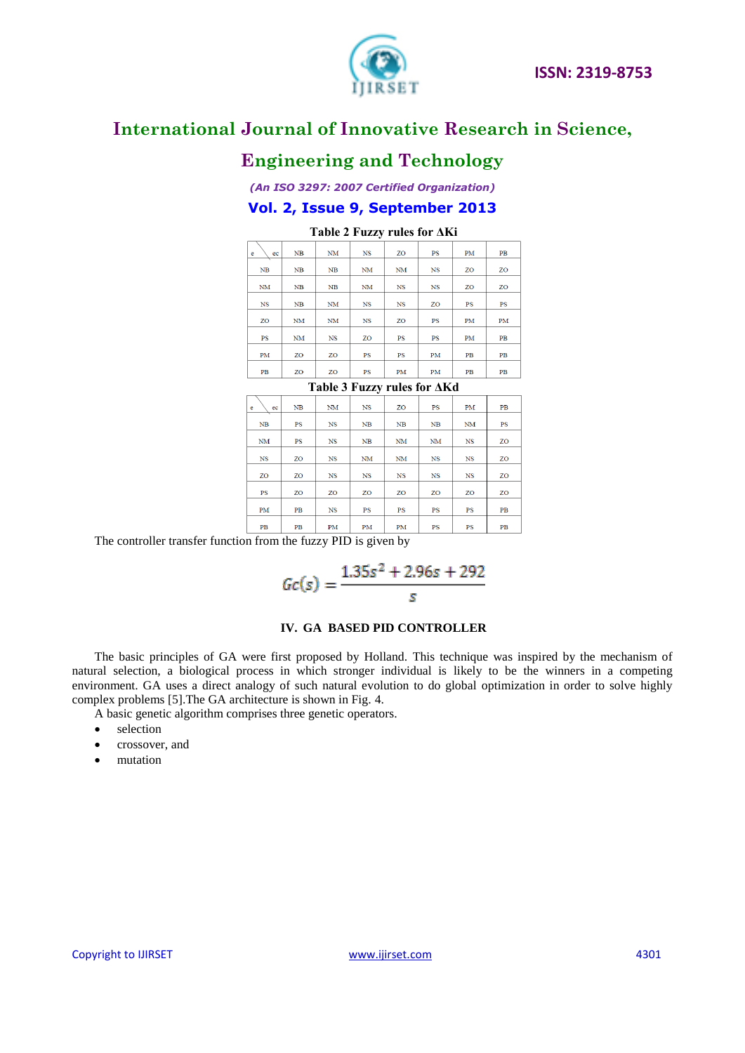

# **Engineering and Technology**

### *(An ISO 3297: 2007 Certified Organization)* **Vol. 2, Issue 9, September 2013**

| <br><br>---<br>-----                              |    |             |             |             |             |    |    |
|---------------------------------------------------|----|-------------|-------------|-------------|-------------|----|----|
| e<br>ec                                           | NB | NM          | $_{\rm NS}$ | ZO          | PS          | PM | PB |
| NB                                                | NB | NB          | NM          | <b>NM</b>   | <b>NS</b>   | ZO | ZO |
| NM                                                | NB | NB          | NM          | <b>NS</b>   | $_{\rm NS}$ | ZO | ZO |
| $_{\rm NS}$                                       | NB | NM          | $_{\rm NS}$ | $_{\rm NS}$ | ZO          | PS | PS |
| ZO                                                | NM | NM          | <b>NS</b>   | ZO          | PS          | PM | PM |
| PS                                                | NM | $_{\rm NS}$ | ZO          | PS          | PS          | PM | PB |
| PM                                                | ZO | ZO          | PS          | PS          | PM          | PB | PB |
| PB                                                | ZO | ZO          | $_{\rm PS}$ | PM          | PM          | PB | PB |
| $\sim$<br>$\overline{\phantom{0}}$<br>$\sim$ $ -$ |    |             |             |             |             |    |    |

### **Table 2 Fuzzy rules for ΔKi**

**Table 3 Fuzzy rules for ΔKd**

| e<br>ec   | NB | <b>NM</b>   | <b>NS</b> | ZO        | <b>PS</b> | PM             | PB |
|-----------|----|-------------|-----------|-----------|-----------|----------------|----|
| NB        | PS | NS          | NB        | NB        | NB        | NM             | PS |
| NM        | PS | $_{\rm NS}$ | NB        | NM        | <b>NM</b> | <b>NS</b>      | ZO |
| <b>NS</b> | ZO | <b>NS</b>   | <b>NM</b> | NM        | <b>NS</b> | <b>NS</b>      | ZO |
| ZO        | ZO | <b>NS</b>   | <b>NS</b> | <b>NS</b> | <b>NS</b> | <b>NS</b>      | ZO |
| <b>PS</b> | ZO | ZO          | ZO        | ZO        | ZO        | Z <sub>O</sub> | ZO |
| PM        | PB | <b>NS</b>   | PS        | PS        | <b>PS</b> | <b>PS</b>      | PB |
| PB        | PB | PM          | PM        | PM        | PS        | PS             | PB |

The controller transfer function from the fuzzy PID is given by

$$
Gc(s) = \frac{1.35s^2 + 2.96s + 292}{s}
$$

#### **IV. GA BASED PID CONTROLLER**

The basic principles of GA were first proposed by Holland. This technique was inspired by the mechanism of natural selection, a biological process in which stronger individual is likely to be the winners in a competing environment. GA uses a direct analogy of such natural evolution to do global optimization in order to solve highly complex problems [5].The GA architecture is shown in Fig. 4.

A basic genetic algorithm comprises three genetic operators.

- selection
- crossover, and
- mutation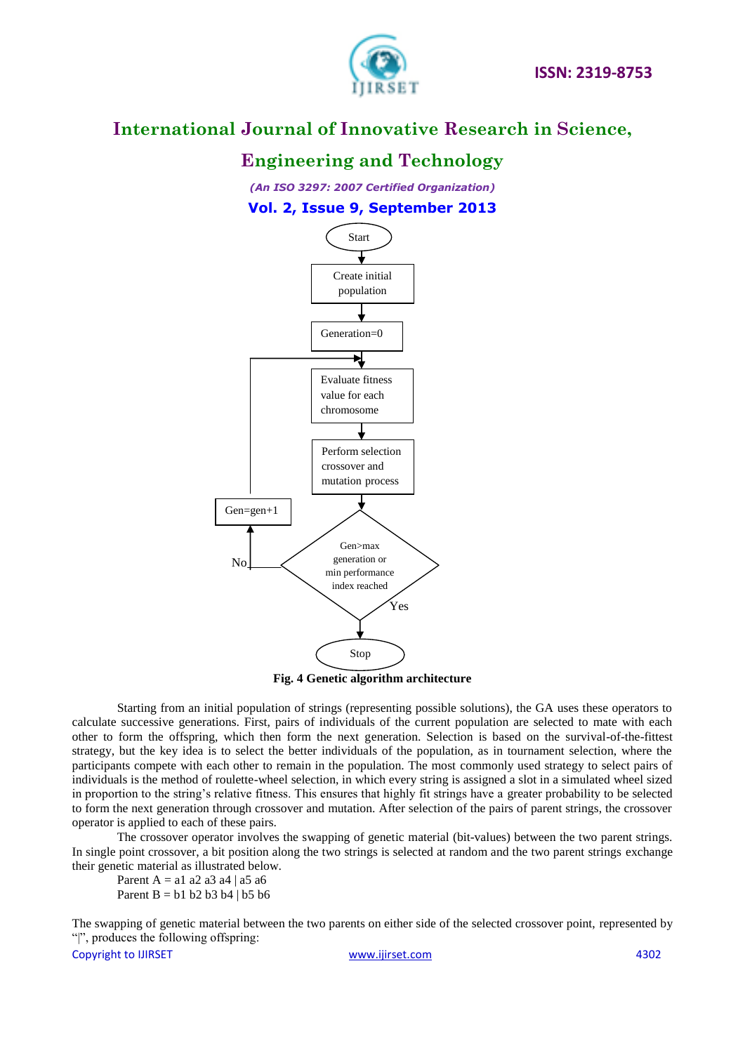

# **Engineering and Technology**

*(An ISO 3297: 2007 Certified Organization)* **Vol. 2, Issue 9, September 2013**



### **Fig. 4 Genetic algorithm architecture**

Starting from an initial population of strings (representing possible solutions), the GA uses these operators to calculate successive generations. First, pairs of individuals of the current population are selected to mate with each other to form the offspring, which then form the next generation. Selection is based on the survival-of-the-fittest strategy, but the key idea is to select the better individuals of the population, as in tournament selection, where the participants compete with each other to remain in the population. The most commonly used strategy to select pairs of individuals is the method of roulette-wheel selection, in which every string is assigned a slot in a simulated wheel sized in proportion to the string's relative fitness. This ensures that highly fit strings have a greater probability to be selected to form the next generation through crossover and mutation. After selection of the pairs of parent strings, the crossover operator is applied to each of these pairs.

The crossover operator involves the swapping of genetic material (bit-values) between the two parent strings. In single point crossover, a bit position along the two strings is selected at random and the two parent strings exchange their genetic material as illustrated below.

Parent A = a1 a2 a3 a4 | a5 a6 Parent  $B = b1 b2 b3 b4 | b5 b6$ 

The swapping of genetic material between the two parents on either side of the selected crossover point, represented by "|", produces the following offspring: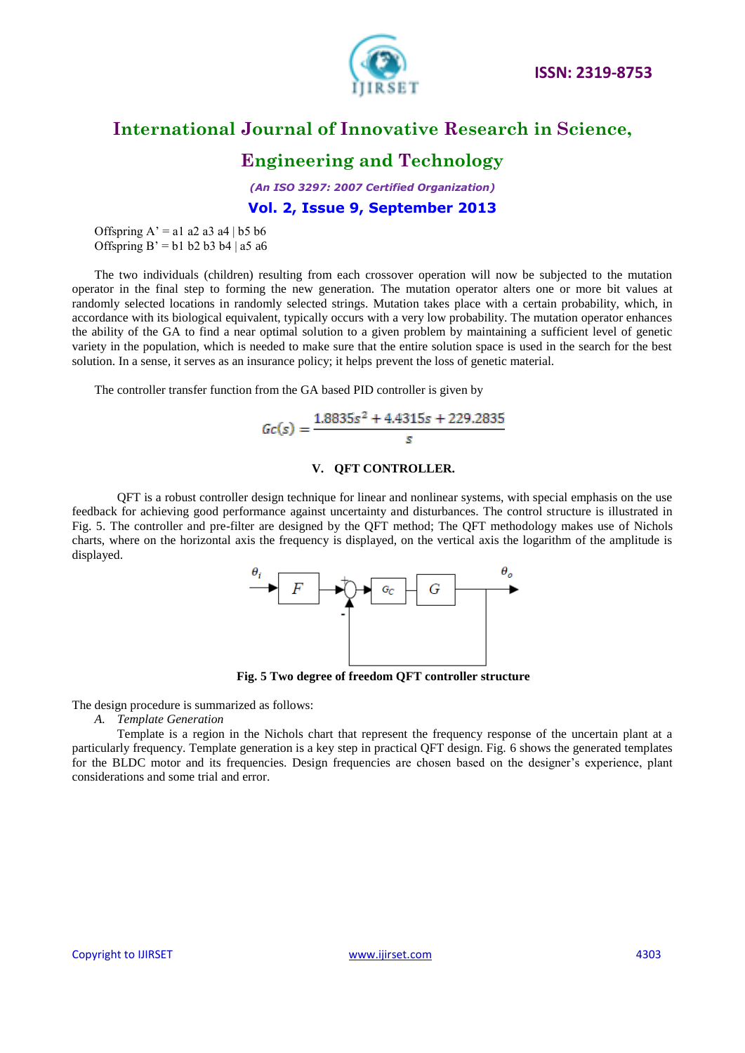

### **Engineering and Technology**

*(An ISO 3297: 2007 Certified Organization)* **Vol. 2, Issue 9, September 2013**

Offspring  $A' = a1 a2 a3 a4 | b5 b6$ Offspring  $B' = b1 b2 b3 b4 a5 a6$ 

The two individuals (children) resulting from each crossover operation will now be subjected to the mutation operator in the final step to forming the new generation. The mutation operator alters one or more bit values at randomly selected locations in randomly selected strings. Mutation takes place with a certain probability, which, in accordance with its biological equivalent, typically occurs with a very low probability. The mutation operator enhances the ability of the GA to find a near optimal solution to a given problem by maintaining a sufficient level of genetic variety in the population, which is needed to make sure that the entire solution space is used in the search for the best solution. In a sense, it serves as an insurance policy; it helps prevent the loss of genetic material.

The controller transfer function from the GA based PID controller is given by

$$
Gc(s) = \frac{1.8835s^2 + 4.4315s + 229.2835}{s}
$$

### **V. QFT CONTROLLER.**

QFT is a robust controller design technique for linear and nonlinear systems, with special emphasis on the use feedback for achieving good performance against uncertainty and disturbances. The control structure is illustrated in Fig. 5. The controller and pre-filter are designed by the QFT method; The QFT methodology makes use of Nichols charts, where on the horizontal axis the frequency is displayed, on the vertical axis the logarithm of the amplitude is displayed.



**Fig. 5 Two degree of freedom QFT controller structure**

The design procedure is summarized as follows:

*A. Template Generation*

Template is a region in the Nichols chart that represent the frequency response of the uncertain plant at a particularly frequency. Template generation is a key step in practical QFT design. Fig. 6 shows the generated templates for the BLDC motor and its frequencies. Design frequencies are chosen based on the designer's experience, plant considerations and some trial and error.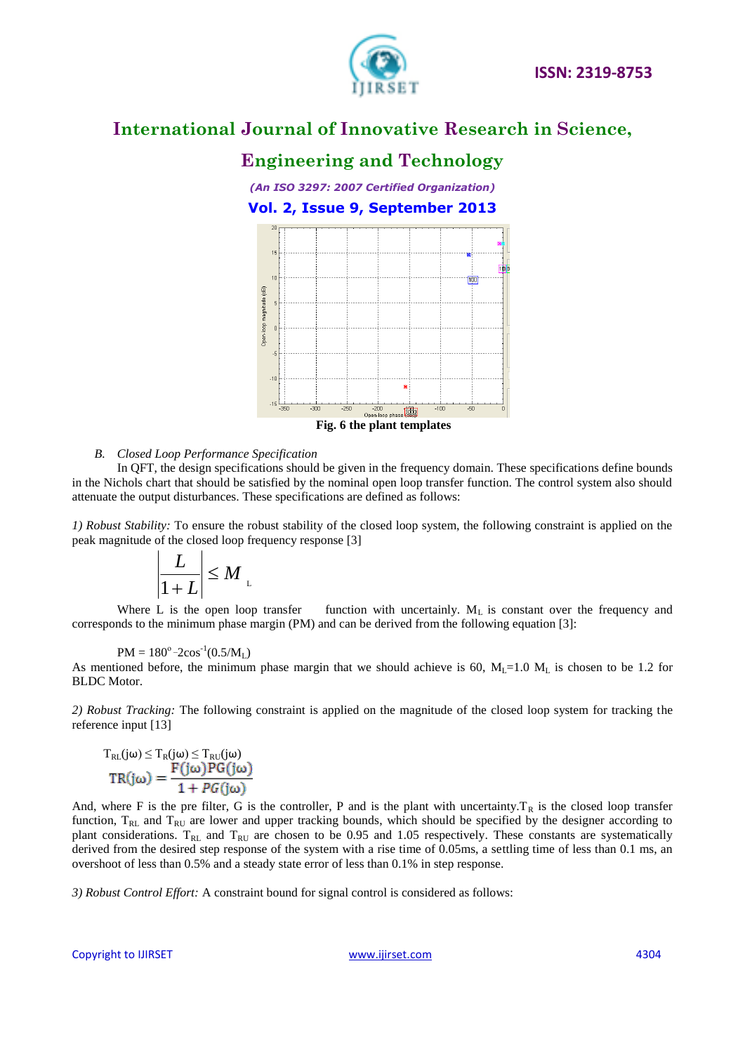

# **Engineering and Technology**

*(An ISO 3297: 2007 Certified Organization)* **Vol. 2, Issue 9, September 2013**



#### *B. Closed Loop Performance Specification*

In QFT, the design specifications should be given in the frequency domain. These specifications define bounds in the Nichols chart that should be satisfied by the nominal open loop transfer function. The control system also should attenuate the output disturbances. These specifications are defined as follows:

*1) Robust Stability:* To ensure the robust stability of the closed loop system, the following constraint is applied on the peak magnitude of the closed loop frequency response [3]

$$
\left|\frac{L}{1+L}\right| \leq M
$$

Where L is the open loop transfer function with uncertainly.  $M<sub>L</sub>$  is constant over the frequency and corresponds to the minimum phase margin (PM) and can be derived from the following equation [3]:

$$
PM = 180^{\circ} - 2\cos^{-1}(0.5/M_L)
$$

As mentioned before, the minimum phase margin that we should achieve is 60,  $M_l$ =1.0  $M_l$  is chosen to be 1.2 for BLDC Motor.

*2) Robust Tracking:* The following constraint is applied on the magnitude of the closed loop system for tracking the reference input [13]

$$
T_{RL}(j\omega) \leq T_R(j\omega) \leq T_{RU}(j\omega)
$$

$$
TR(j\omega) = \frac{F(j\omega)PG(j\omega)}{1 + PG(j\omega)}
$$

And, where F is the pre filter, G is the controller, P and is the plant with uncertainty.  $T_R$  is the closed loop transfer function,  $T_{RL}$  and  $T_{RU}$  are lower and upper tracking bounds, which should be specified by the designer according to plant considerations.  $T_{RL}$  and  $T_{RU}$  are chosen to be 0.95 and 1.05 respectively. These constants are systematically derived from the desired step response of the system with a rise time of 0.05ms, a settling time of less than 0.1 ms, an overshoot of less than 0.5% and a steady state error of less than 0.1% in step response.

*3) Robust Control Effort:* A constraint bound for signal control is considered as follows: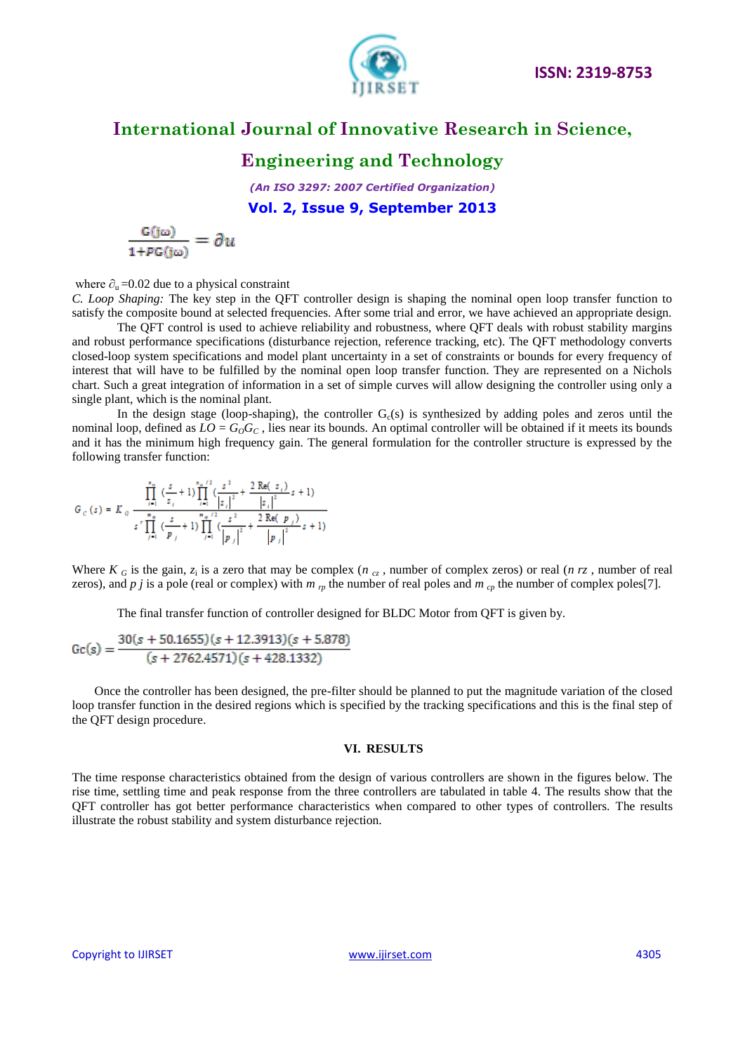

### **Engineering and Technology**

*(An ISO 3297: 2007 Certified Organization)* **Vol. 2, Issue 9, September 2013**

 $\frac{G(j\omega)}{1+PG(i\omega)}=\partial u$ 

where  $\partial_u = 0.02$  due to a physical constraint

*C. Loop Shaping:* The key step in the QFT controller design is shaping the nominal open loop transfer function to satisfy the composite bound at selected frequencies. After some trial and error, we have achieved an appropriate design.

The QFT control is used to achieve reliability and robustness, where QFT deals with robust stability margins and robust performance specifications (disturbance rejection, reference tracking, etc). The QFT methodology converts closed-loop system specifications and model plant uncertainty in a set of constraints or bounds for every frequency of interest that will have to be fulfilled by the nominal open loop transfer function. They are represented on a Nichols chart. Such a great integration of information in a set of simple curves will allow designing the controller using only a single plant, which is the nominal plant.

In the design stage (loop-shaping), the controller  $G<sub>c</sub>(s)$  is synthesized by adding poles and zeros until the nominal loop, defined as  $LO = G_0G_C$ , lies near its bounds. An optimal controller will be obtained if it meets its bounds and it has the minimum high frequency gain. The general formulation for the controller structure is expressed by the following transfer function:

$$
G_c(s) = K_a \frac{\prod\limits_{i=1}^{n_a} \left(\frac{s}{z_i} + 1\right) \prod\limits_{i=1}^{n_a/2} \left(\frac{s^2}{|z_i|^2} + \frac{2 \operatorname{Re}(z_i)}{|z_i|^2} s + 1\right)}{s^r \prod\limits_{j=1}^{n_a} \left(\frac{s}{p_j} + 1\right) \prod\limits_{j=1}^{n_a/2} \left(\frac{s^2}{|p_j|^2} + \frac{2 \operatorname{Re}(p_j)}{|p_j|^2} s + 1\right)}
$$

Where  $K_G$  is the gain,  $z_i$  is a zero that may be complex ( $n_{cz}$ , number of complex zeros) or real ( $n_{rz}$ , number of real zeros), and *p j* is a pole (real or complex) with  $m_{rp}$  the number of real poles and  $m_{cp}$  the number of complex poles[7].

The final transfer function of controller designed for BLDC Motor from QFT is given by.

$$
Gc(s) = \frac{30(s + 50.1655)(s + 12.3913)(s + 5.878)}{(s + 2762.4571)(s + 428.1332)}
$$

Once the controller has been designed, the pre-filter should be planned to put the magnitude variation of the closed loop transfer function in the desired regions which is specified by the tracking specifications and this is the final step of the QFT design procedure.

#### **VI. RESULTS**

The time response characteristics obtained from the design of various controllers are shown in the figures below. The rise time, settling time and peak response from the three controllers are tabulated in table 4. The results show that the QFT controller has got better performance characteristics when compared to other types of controllers. The results illustrate the robust stability and system disturbance rejection.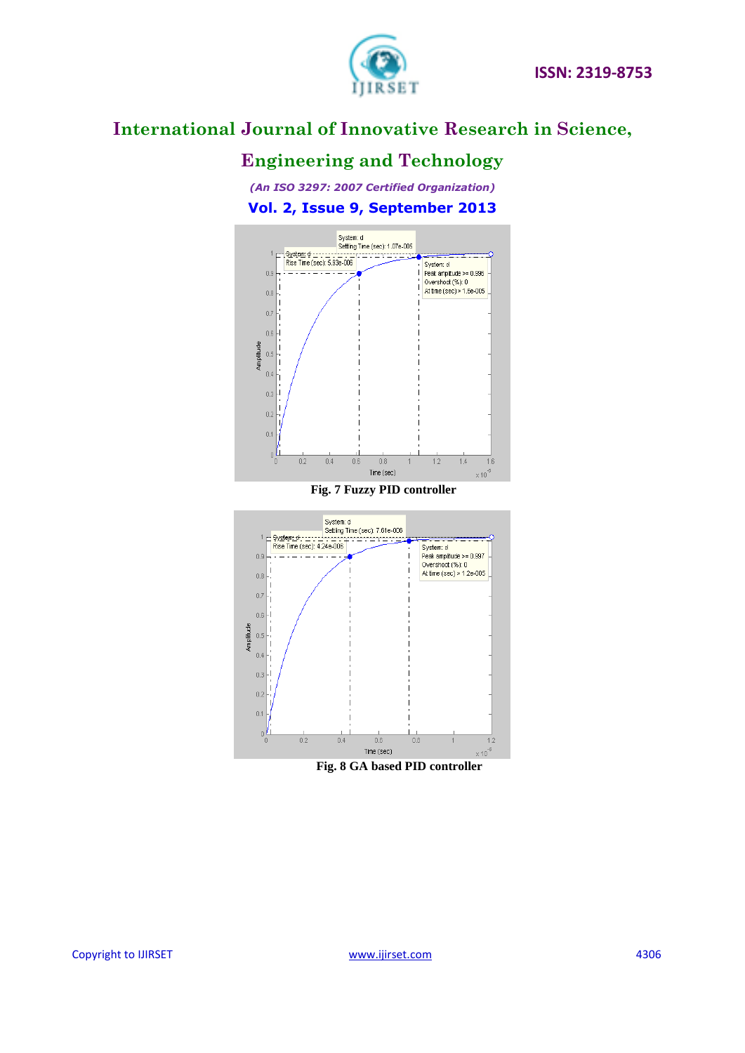

# **Engineering and Technology**

*(An ISO 3297: 2007 Certified Organization)* **Vol. 2, Issue 9, September 2013**



### **Fig. 7 Fuzzy PID controller**



 **Fig. 8 GA based PID controller**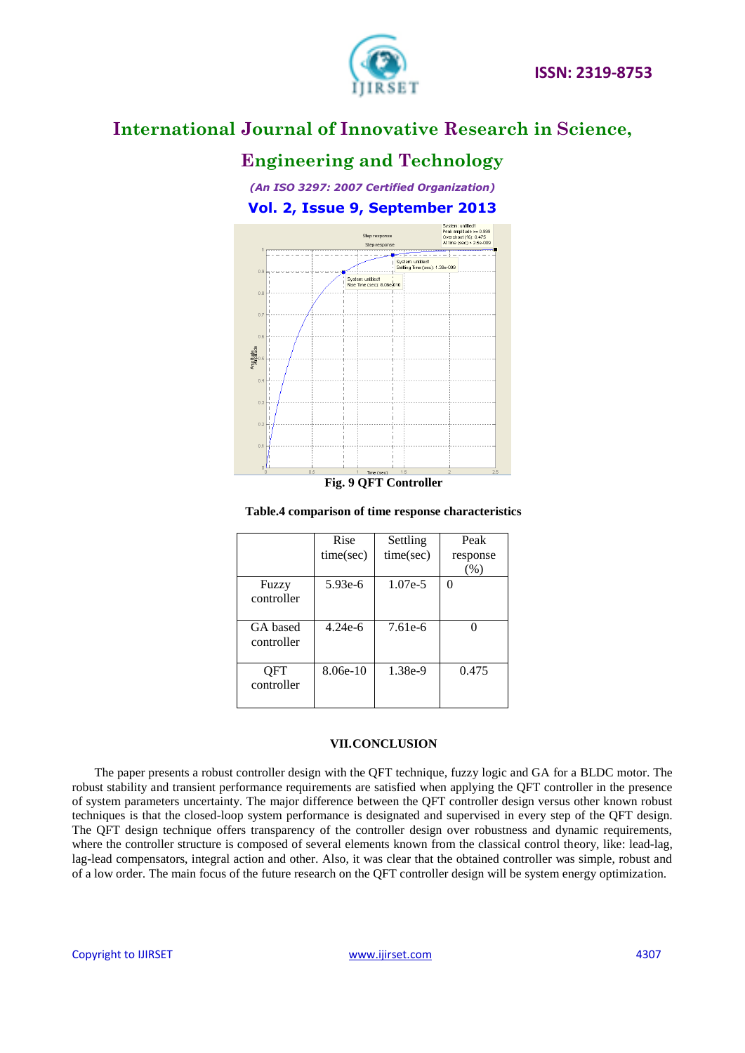

# **Engineering and Technology**

*(An ISO 3297: 2007 Certified Organization)* **Vol. 2, Issue 9, September 2013**



#### **Table.4 comparison of time response characteristics**

|                        | Rise<br>time(sec) | Settling<br>time(sec) | Peak<br>response<br>(%) |
|------------------------|-------------------|-----------------------|-------------------------|
| Fuzzy<br>controller    | 5.93e-6           | $1.07e-5$             | 0                       |
| GA based<br>controller | $4.24e-6$         | 7.61e-6               |                         |
| OFT<br>controller      | $8.06e-10$        | 1.38e-9               | 0.475                   |

### **VII.CONCLUSION**

The paper presents a robust controller design with the QFT technique, fuzzy logic and GA for a BLDC motor. The robust stability and transient performance requirements are satisfied when applying the QFT controller in the presence of system parameters uncertainty. The major difference between the QFT controller design versus other known robust techniques is that the closed-loop system performance is designated and supervised in every step of the QFT design. The QFT design technique offers transparency of the controller design over robustness and dynamic requirements, where the controller structure is composed of several elements known from the classical control theory, like: lead-lag, lag-lead compensators, integral action and other. Also, it was clear that the obtained controller was simple, robust and of a low order. The main focus of the future research on the QFT controller design will be system energy optimization.